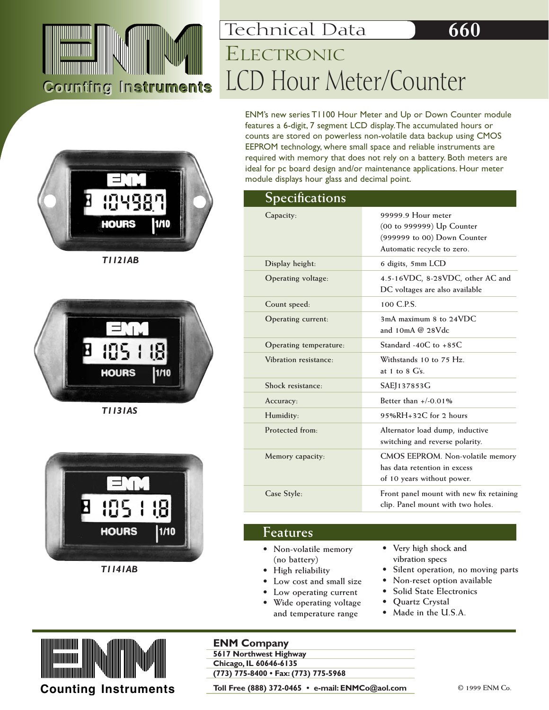

## LCD Hour Meter/Counter Technical Data **660** ELECTRONIC

ENM's new series T1100 Hour Meter and Up or Down Counter module features a 6-digit, 7 segment LCD display.The accumulated hours or counts are stored on powerless non-volatile data backup using CMOS EEPROM technology, where small space and reliable instruments are required with memory that does not rely on a battery. Both meters are ideal for pc board design and/or maintenance applications. Hour meter module displays hour glass and decimal point.

#### **Specifications**

| $\mathcal{L}$ peculations |                                                                                                              |  |
|---------------------------|--------------------------------------------------------------------------------------------------------------|--|
| Capacity:                 | 99999.9 Hour meter<br>(00 to 999999) Up Counter<br>(999999 to 00) Down Counter<br>Automatic recycle to zero. |  |
| Display height:           | 6 digits, 5mm LCD                                                                                            |  |
| Operating voltage:        | 4.5-16VDC, 8-28VDC, other AC and<br>DC voltages are also available                                           |  |
| Count speed:              | 100 C.P.S.                                                                                                   |  |
| Operating current:        | 3mA maximum 8 to 24VDC<br>and $10mA @ 28Vdc$                                                                 |  |
| Operating temperature:    | Standard -40C to $+85C$                                                                                      |  |
| Vibration resistance:     | Withstands 10 to 75 Hz.<br>at 1 to 8 $\mathrm{G}\mathrm{s}$ .                                                |  |
| Shock resistance:         | SAEJ137853G                                                                                                  |  |
| Accuracy:                 | Better than $+/-0.01\%$                                                                                      |  |
| Humidity:                 | $95\%RH + 32C$ for 2 hours                                                                                   |  |
| Protected from:           | Alternator load dump, inductive<br>switching and reverse polarity.                                           |  |
| Memory capacity:          | CMOS EEPROM. Non-volatile memory<br>has data retention in excess<br>of 10 years without power.               |  |
| Case Style:               | Front panel mount with new fix retaining<br>clip. Panel mount with two holes.                                |  |

#### **Features**

- **Non-volatile memory (no battery)**
- **High reliability**
- **Low cost and small size**
- **Low operating current**
- **Wide operating voltage and temperature range**
- **Very high shock and vibration specs**
- **Silent operation, no moving parts**
- **Non-reset option available**
- **Solid State Electronics**
- **Quartz Crystal**
- **Made in the U.S.A.**



#### **ENM Company**

**5617 Northwest Highway Chicago, IL 60646-6135** 

**(773) 775-8400 • Fax: (773) 775-5968**

**Counting Instruments** Toll Free (888) 372-0465 • e-mail: ENMCo@aol.com **COM Co.** 2999 ENM Co.







*T1141AB*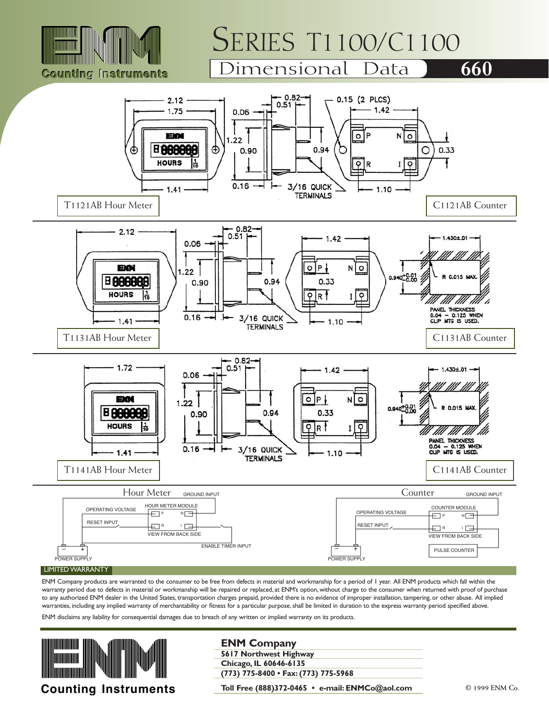

# SERIES T1100/C1100<br>Dimensional Data 660

### Dimensional Data



ENM Company products are warranted to the consumer to be free from defects in material and workmanship for a period of 1 year. All ENM products which fall within the warranty period due to defects in material or workmanship will be repaired or replaced, at ENM's option, without charge to the consumer when returned with proof of purchase to any authorized ENM dealer in the United States, transportation charges prepaid, provided there is no evidence of improper installation, tampering, or other abuse. All implied warranties, including any implied warranty of merchantability or fitness for a particular purpose, shall be limited in duration to the express warranty period specified above.

ENM disclaims any liability for consequential damages due to breach of any written or implied warranty on its products.



#### **ENM Company**

**5617 Northwest Highway Chicago, IL 60646-6135 (773) 775-8400 • Fax: (773) 775-5968**